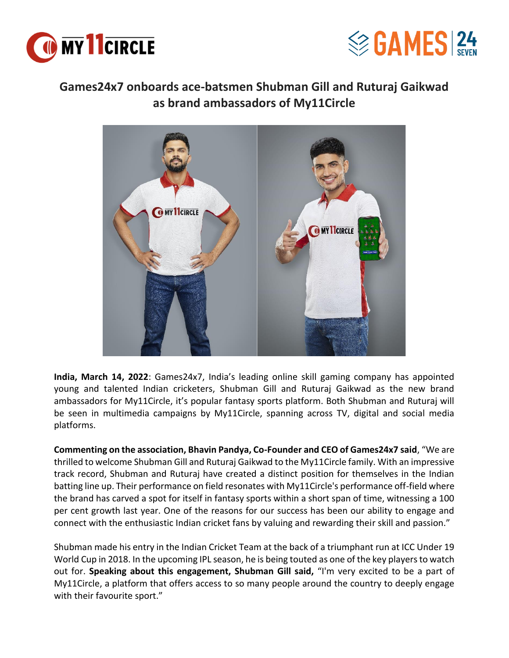



## **Games24x7 onboards ace-batsmen Shubman Gill and Ruturaj Gaikwad as brand ambassadors of My11Circle**



**India, March 14, 2022**: Games24x7, India's leading online skill gaming company has appointed young and talented Indian cricketers, Shubman Gill and Ruturaj Gaikwad as the new brand ambassadors for My11Circle, it's popular fantasy sports platform. Both Shubman and Ruturaj will be seen in multimedia campaigns by My11Circle, spanning across TV, digital and social media platforms.

**Commenting on the association, Bhavin Pandya, Co-Founder and CEO of Games24x7 said**, "We are thrilled to welcome Shubman Gill and Ruturaj Gaikwad to the My11Circle family. With an impressive track record, Shubman and Ruturaj have created a distinct position for themselves in the Indian batting line up. Their performance on field resonates with My11Circle's performance off-field where the brand has carved a spot for itself in fantasy sports within a short span of time, witnessing a 100 per cent growth last year. One of the reasons for our success has been our ability to engage and connect with the enthusiastic Indian cricket fans by valuing and rewarding their skill and passion."

Shubman made his entry in the Indian Cricket Team at the back of a triumphant run at ICC Under 19 World Cup in 2018. In the upcoming IPL season, he is being touted as one of the key players to watch out for. **Speaking about this engagement, Shubman Gill said,** "I'm very excited to be a part of My11Circle, a platform that offers access to so many people around the country to deeply engage with their favourite sport."